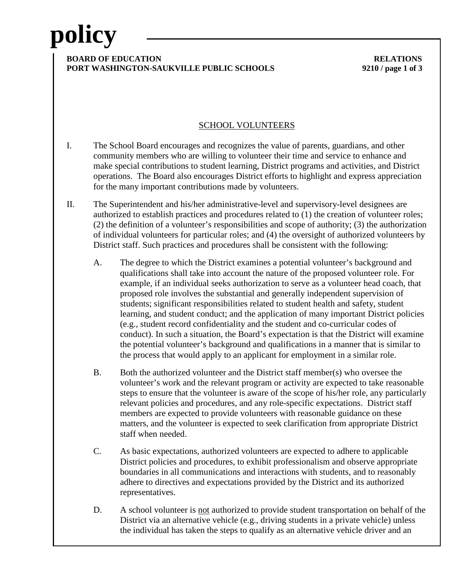## **policy**

### **BOARD OF EDUCATION RELATIONS PORT WASHINGTON-SAUKVILLE PUBLIC SCHOOLS 9210 / page 1 of 3**

### SCHOOL VOLUNTEERS

- I. The School Board encourages and recognizes the value of parents, guardians, and other community members who are willing to volunteer their time and service to enhance and make special contributions to student learning, District programs and activities, and District operations. The Board also encourages District efforts to highlight and express appreciation for the many important contributions made by volunteers.
- II. The Superintendent and his/her administrative-level and supervisory-level designees are authorized to establish practices and procedures related to (1) the creation of volunteer roles; (2) the definition of a volunteer's responsibilities and scope of authority; (3) the authorization of individual volunteers for particular roles; and (4) the oversight of authorized volunteers by District staff. Such practices and procedures shall be consistent with the following:
	- A. The degree to which the District examines a potential volunteer's background and qualifications shall take into account the nature of the proposed volunteer role. For example, if an individual seeks authorization to serve as a volunteer head coach, that proposed role involves the substantial and generally independent supervision of students; significant responsibilities related to student health and safety, student learning, and student conduct; and the application of many important District policies (e.g., student record confidentiality and the student and co-curricular codes of conduct). In such a situation, the Board's expectation is that the District will examine the potential volunteer's background and qualifications in a manner that is similar to the process that would apply to an applicant for employment in a similar role.
	- B. Both the authorized volunteer and the District staff member(s) who oversee the volunteer's work and the relevant program or activity are expected to take reasonable steps to ensure that the volunteer is aware of the scope of his/her role, any particularly relevant policies and procedures, and any role-specific expectations. District staff members are expected to provide volunteers with reasonable guidance on these matters, and the volunteer is expected to seek clarification from appropriate District staff when needed.
	- C. As basic expectations, authorized volunteers are expected to adhere to applicable District policies and procedures, to exhibit professionalism and observe appropriate boundaries in all communications and interactions with students, and to reasonably adhere to directives and expectations provided by the District and its authorized representatives.
	- D. A school volunteer is not authorized to provide student transportation on behalf of the District via an alternative vehicle (e.g., driving students in a private vehicle) unless the individual has taken the steps to qualify as an alternative vehicle driver and an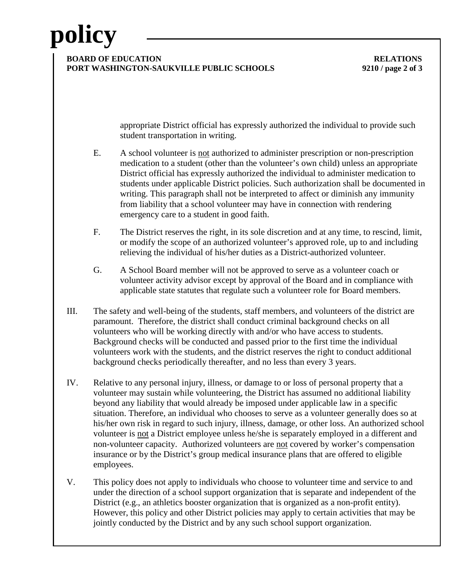# **policy**

### **BOARD OF EDUCATION RELATIONS PORT WASHINGTON-SAUKVILLE PUBLIC SCHOOLS 9210 / page 2 of 3**

appropriate District official has expressly authorized the individual to provide such student transportation in writing.

- E. A school volunteer is not authorized to administer prescription or non-prescription medication to a student (other than the volunteer's own child) unless an appropriate District official has expressly authorized the individual to administer medication to students under applicable District policies. Such authorization shall be documented in writing. This paragraph shall not be interpreted to affect or diminish any immunity from liability that a school volunteer may have in connection with rendering emergency care to a student in good faith.
- F. The District reserves the right, in its sole discretion and at any time, to rescind, limit, or modify the scope of an authorized volunteer's approved role, up to and including relieving the individual of his/her duties as a District-authorized volunteer.
- G. A School Board member will not be approved to serve as a volunteer coach or volunteer activity advisor except by approval of the Board and in compliance with applicable state statutes that regulate such a volunteer role for Board members.
- III. The safety and well-being of the students, staff members, and volunteers of the district are paramount. Therefore, the district shall conduct criminal background checks on all volunteers who will be working directly with and/or who have access to students. Background checks will be conducted and passed prior to the first time the individual volunteers work with the students, and the district reserves the right to conduct additional background checks periodically thereafter, and no less than every 3 years.
- IV. Relative to any personal injury, illness, or damage to or loss of personal property that a volunteer may sustain while volunteering, the District has assumed no additional liability beyond any liability that would already be imposed under applicable law in a specific situation. Therefore, an individual who chooses to serve as a volunteer generally does so at his/her own risk in regard to such injury, illness, damage, or other loss. An authorized school volunteer is not a District employee unless he/she is separately employed in a different and non-volunteer capacity. Authorized volunteers are not covered by worker's compensation insurance or by the District's group medical insurance plans that are offered to eligible employees.
- V. This policy does not apply to individuals who choose to volunteer time and service to and under the direction of a school support organization that is separate and independent of the District (e.g., an athletics booster organization that is organized as a non-profit entity). However, this policy and other District policies may apply to certain activities that may be jointly conducted by the District and by any such school support organization.